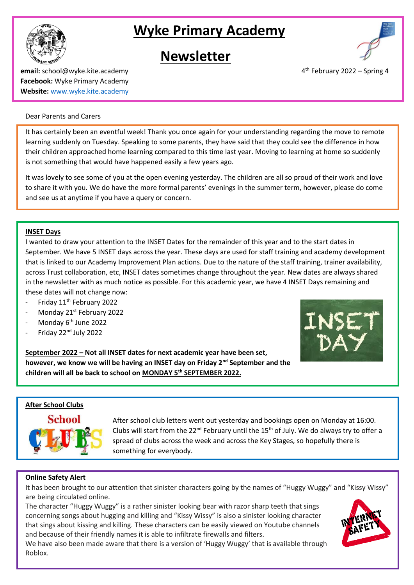# **Wyke Primary Academy**





**email:** school@wyke.kite.academy 4 **Facebook:** Wyke Primary Academy **Website:** [www.wyke.kite.academy](http://www.wyke.kite.academy/)

# $4<sup>th</sup>$  February 2022 – Spring 4

#### Dear Parents and Carers

It has certainly been an eventful week! Thank you once again for your understanding regarding the move to remote learning suddenly on Tuesday. Speaking to some parents, they have said that they could see the difference in how their children approached home learning compared to this time last year. Moving to learning at home so suddenly is not something that would have happened easily a few years ago.

It was lovely to see some of you at the open evening yesterday. The children are all so proud of their work and love to share it with you. We do have the more formal parents' evenings in the summer term, however, please do come and see us at anytime if you have a query or concern.

## **INSET Days**

I wanted to draw your attention to the INSET Dates for the remainder of this year and to the start dates in September. We have 5 INSET days across the year. These days are used for staff training and academy development that is linked to our Academy Improvement Plan actions. Due to the nature of the staff training, trainer availability, across Trust collaboration, etc, INSET dates sometimes change throughout the year. New dates are always shared in the newsletter with as much notice as possible. For this academic year, we have 4 INSET Days remaining and these dates will not change now:

- Friday 11<sup>th</sup> February 2022
- Monday 21<sup>st</sup> February 2022
- Monday 6<sup>th</sup> June 2022
- Friday 22nd July 2022

**September 2022 – Not all INSET dates for next academic year have been set, however, we know we will be having an INSET day on Friday 2nd September and the children will all be back to school on MONDAY 5th SEPTEMBER 2022.**



#### **After School Clubs**



After school club letters went out yesterday and bookings open on Monday at 16:00. Clubs will start from the 22 $^{nd}$  February until the 15<sup>th</sup> of July. We do always try to offer a spread of clubs across the week and across the Key Stages, so hopefully there is something for everybody.

# **Online Safety Alert**

It has been brought to our attention that sinister characters going by the names of "Huggy Wuggy" and "Kissy Wissy" are being circulated online.

The character "Huggy Wuggy" is a rather sinister looking bear with razor sharp teeth that sings concerning songs about hugging and killing and "Kissy Wissy" is also a sinister looking character that sings about kissing and killing. These characters can be easily viewed on Youtube channels and because of their friendly names it is able to infiltrate firewalls and filters.



We have also been made aware that there is a version of 'Huggy Wuggy' that is available through Roblox.